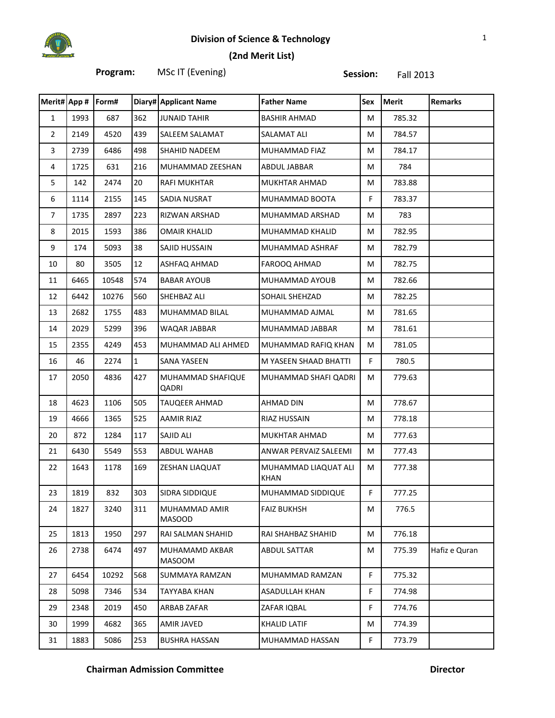

# **Division of Science & Technology** 1

#### **(2nd Merit List)**

| Program: | MSc IT (Evening) | Session: | Fall 2013 |
|----------|------------------|----------|-----------|
|          |                  |          |           |

| Merit# App #   |      | Form# |              | <b>Diary# Applicant Name</b>   | <b>Father Name</b>                  | Sex         | <b>Merit</b> | <b>Remarks</b> |
|----------------|------|-------|--------------|--------------------------------|-------------------------------------|-------------|--------------|----------------|
| $\mathbf{1}$   | 1993 | 687   | 362          | <b>JUNAID TAHIR</b>            | <b>BASHIR AHMAD</b>                 | M           | 785.32       |                |
| $\overline{2}$ | 2149 | 4520  | 439          | SALEEM SALAMAT                 | SALAMAT ALI                         | M           | 784.57       |                |
| 3              | 2739 | 6486  | 498          | SHAHID NADEEM                  | MUHAMMAD FIAZ                       | M           | 784.17       |                |
| $\overline{4}$ | 1725 | 631   | 216          | MUHAMMAD ZEESHAN               | ABDUL JABBAR                        | M           | 784          |                |
| 5              | 142  | 2474  | 20           | <b>RAFI MUKHTAR</b>            | MUKHTAR AHMAD                       | M           | 783.88       |                |
| 6              | 1114 | 2155  | 145          | SADIA NUSRAT                   | MUHAMMAD BOOTA                      | F.          | 783.37       |                |
| $\overline{7}$ | 1735 | 2897  | 223          | RIZWAN ARSHAD                  | MUHAMMAD ARSHAD                     | M           | 783          |                |
| 8              | 2015 | 1593  | 386          | <b>OMAIR KHALID</b>            | MUHAMMAD KHALID                     | M           | 782.95       |                |
| 9              | 174  | 5093  | 38           | SAJID HUSSAIN                  | MUHAMMAD ASHRAF                     | М           | 782.79       |                |
| 10             | 80   | 3505  | 12           | ASHFAQ AHMAD                   | FAROOQ AHMAD                        | М           | 782.75       |                |
| 11             | 6465 | 10548 | 574          | <b>BABAR AYOUB</b>             | MUHAMMAD AYOUB                      | М           | 782.66       |                |
| 12             | 6442 | 10276 | 560          | SHEHBAZ ALI                    | SOHAIL SHEHZAD                      | М           | 782.25       |                |
| 13             | 2682 | 1755  | 483          | MUHAMMAD BILAL                 | MUHAMMAD AJMAL                      | М           | 781.65       |                |
| 14             | 2029 | 5299  | 396          | WAQAR JABBAR                   | MUHAMMAD JABBAR                     | М           | 781.61       |                |
| 15             | 2355 | 4249  | 453          | MUHAMMAD ALI AHMED             | MUHAMMAD RAFIQ KHAN                 | М           | 781.05       |                |
| 16             | 46   | 2274  | $\mathbf{1}$ | SANA YASEEN                    | M YASEEN SHAAD BHATTI               | F.          | 780.5        |                |
| 17             | 2050 | 4836  | 427          | MUHAMMAD SHAFIQUE<br>QADRI     | MUHAMMAD SHAFI QADRI                | М           | 779.63       |                |
| 18             | 4623 | 1106  | 505          | TAUQEER AHMAD                  | AHMAD DIN                           | M           | 778.67       |                |
| 19             | 4666 | 1365  | 525          | AAMIR RIAZ                     | RIAZ HUSSAIN                        | М           | 778.18       |                |
| 20             | 872  | 1284  | 117          | SAJID ALI                      | MUKHTAR AHMAD                       | М           | 777.63       |                |
| 21             | 6430 | 5549  | 553          | ABDUL WAHAB                    | ANWAR PERVAIZ SALEEMI               | М           | 777.43       |                |
| 22             | 1643 | 1178  | 169          | ZESHAN LIAQUAT                 | MUHAMMAD LIAQUAT ALI<br><b>KHAN</b> | М           | 777.38       |                |
| 23             | 1819 | 832   | 303          | SIDRA SIDDIQUE                 | MUHAMMAD SIDDIQUE                   | F           | 777.25       |                |
| 24             | 1827 | 3240  | 311          | MUHAMMAD AMIR<br><b>MASOOD</b> | <b>FAIZ BUKHSH</b>                  | M           | 776.5        |                |
| 25             | 1813 | 1950  | 297          | RAI SALMAN SHAHID              | RAI SHAHBAZ SHAHID                  | M           | 776.18       |                |
| 26             | 2738 | 6474  | 497          | MUHAMAMD AKBAR<br>MASOOM       | <b>ABDUL SATTAR</b>                 | М           | 775.39       | Hafiz e Quran  |
| 27             | 6454 | 10292 | 568          | SUMMAYA RAMZAN                 | MUHAMMAD RAMZAN                     | $\mathsf F$ | 775.32       |                |
| 28             | 5098 | 7346  | 534          | <b>TAYYABA KHAN</b>            | <b>ASADULLAH KHAN</b>               | F           | 774.98       |                |
| 29             | 2348 | 2019  | 450          | ARBAB ZAFAR                    | ZAFAR IQBAL                         | F           | 774.76       |                |
| 30             | 1999 | 4682  | 365          | <b>AMIR JAVED</b>              | <b>KHALID LATIF</b>                 | M           | 774.39       |                |
| 31             | 1883 | 5086  | 253          | <b>BUSHRA HASSAN</b>           | MUHAMMAD HASSAN                     | $\mathsf F$ | 773.79       |                |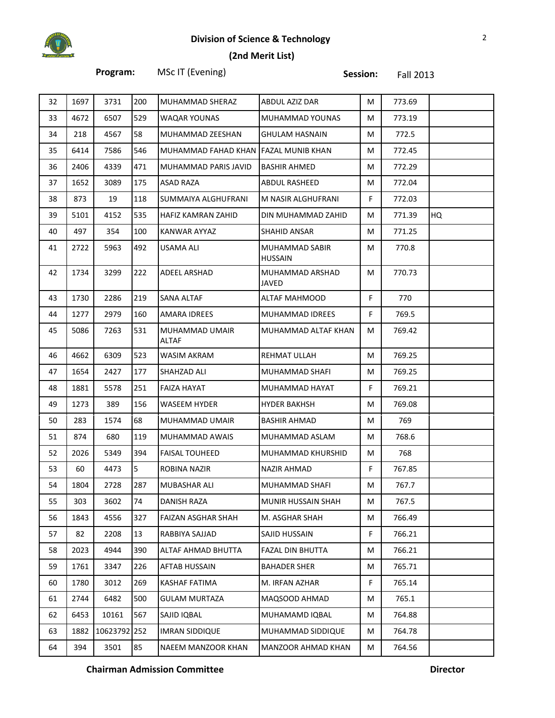# **Division of Science & Technology** 2



### **(2nd Merit List)**

**Program:** MSc IT (Evening) **Session:** Fall 2013

| 32 | 1697 | 3731         | 200 | MUHAMMAD SHERAZ                       | ABDUL AZIZ DAR                   | М  | 773.69 |    |
|----|------|--------------|-----|---------------------------------------|----------------------------------|----|--------|----|
| 33 | 4672 | 6507         | 529 | WAQAR YOUNAS                          | MUHAMMAD YOUNAS                  | M  | 773.19 |    |
| 34 | 218  | 4567         | 58  | MUHAMMAD ZEESHAN                      | <b>GHULAM HASNAIN</b>            | M  | 772.5  |    |
| 35 | 6414 | 7586         | 546 | MUHAMMAD FAHAD KHAN [FAZAL MUNIB KHAN |                                  | M  | 772.45 |    |
| 36 | 2406 | 4339         | 471 | MUHAMMAD PARIS JAVID                  | <b>BASHIR AHMED</b>              | M  | 772.29 |    |
| 37 | 1652 | 3089         | 175 | ASAD RAZA                             | ABDUL RASHEED                    | M  | 772.04 |    |
| 38 | 873  | 19           | 118 | SUMMAIYA ALGHUFRANI                   | M NASIR ALGHUFRANI               | F  | 772.03 |    |
| 39 | 5101 | 4152         | 535 | HAFIZ KAMRAN ZAHID                    | DIN MUHAMMAD ZAHID               | M  | 771.39 | HQ |
| 40 | 497  | 354          | 100 | KANWAR AYYAZ                          | SHAHID ANSAR                     | M  | 771.25 |    |
| 41 | 2722 | 5963         | 492 | USAMA ALI                             | MUHAMMAD SABIR<br><b>HUSSAIN</b> | M  | 770.8  |    |
| 42 | 1734 | 3299         | 222 | ADEEL ARSHAD                          | MUHAMMAD ARSHAD<br>JAVED         | М  | 770.73 |    |
| 43 | 1730 | 2286         | 219 | SANA ALTAF                            | ALTAF MAHMOOD                    | F. | 770    |    |
| 44 | 1277 | 2979         | 160 | <b>AMARA IDREES</b>                   | MUHAMMAD IDREES                  | F  | 769.5  |    |
| 45 | 5086 | 7263         | 531 | MUHAMMAD UMAIR<br><b>ALTAF</b>        | MUHAMMAD ALTAF KHAN              | М  | 769.42 |    |
| 46 | 4662 | 6309         | 523 | WASIM AKRAM                           | REHMAT ULLAH                     | M  | 769.25 |    |
| 47 | 1654 | 2427         | 177 | SHAHZAD ALI                           | MUHAMMAD SHAFI                   | М  | 769.25 |    |
| 48 | 1881 | 5578         | 251 | FAIZA HAYAT                           | MUHAMMAD HAYAT                   | F  | 769.21 |    |
| 49 | 1273 | 389          | 156 | WASEEM HYDER                          | <b>HYDER BAKHSH</b>              | М  | 769.08 |    |
| 50 | 283  | 1574         | 68  | MUHAMMAD UMAIR                        | BASHIR AHMAD                     | М  | 769    |    |
| 51 | 874  | 680          | 119 | MUHAMMAD AWAIS                        | MUHAMMAD ASLAM                   | М  | 768.6  |    |
| 52 | 2026 | 5349         | 394 | <b>FAISAL TOUHEED</b>                 | MUHAMMAD KHURSHID                | М  | 768    |    |
| 53 | 60   | 4473         | 5   | ROBINA NAZIR                          | NAZIR AHMAD                      | F  | 767.85 |    |
| 54 | 1804 | 2728         | 287 | MUBASHAR ALI                          | MUHAMMAD SHAFI                   | М  | 767.7  |    |
| 55 | 303  | 3602         | 74  | <b>DANISH RAZA</b>                    | MUNIR HUSSAIN SHAH               | M  | 767.5  |    |
| 56 | 1843 | 4556         | 327 | FAIZAN ASGHAR SHAH                    | M. ASGHAR SHAH                   | М  | 766.49 |    |
| 57 | 82   | 2208         | 13  | RABBIYA SAJJAD                        | SAJID HUSSAIN                    | F  | 766.21 |    |
| 58 | 2023 | 4944         | 390 | ALTAF AHMAD BHUTTA                    | <b>FAZAL DIN BHUTTA</b>          | М  | 766.21 |    |
| 59 | 1761 | 3347         | 226 | <b>AFTAB HUSSAIN</b>                  | <b>BAHADER SHER</b>              | М  | 765.71 |    |
| 60 | 1780 | 3012         | 269 | KASHAF FATIMA                         | M. IRFAN AZHAR                   | F  | 765.14 |    |
| 61 | 2744 | 6482         | 500 | GULAM MURTAZA                         | MAQSOOD AHMAD                    | М  | 765.1  |    |
| 62 | 6453 | 10161        | 567 | SAJID IQBAL                           | MUHAMAMD IQBAL                   | М  | 764.88 |    |
| 63 | 1882 | 10623792 252 |     | <b>IMRAN SIDDIQUE</b>                 | MUHAMMAD SIDDIQUE                | М  | 764.78 |    |
| 64 | 394  | 3501         | 85  | NAEEM MANZOOR KHAN                    | MANZOOR AHMAD KHAN               | М  | 764.56 |    |